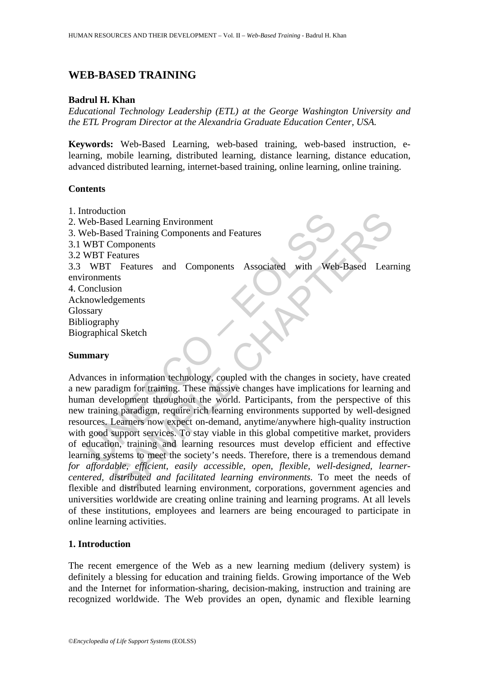# **WEB-BASED TRAINING**

#### **Badrul H. Khan**

*Educational Technology Leadership (ETL) at the George Washington University and the ETL Program Director at the Alexandria Graduate Education Center, USA.* 

**Keywords:** Web-Based Learning, web-based training, web-based instruction, elearning, mobile learning, distributed learning, distance learning, distance education, advanced distributed learning, internet-based training, online learning, online training.

#### **Contents**

Moduction<br>
Veb-Based Learning Environment<br>
Veb-Based Training Components and Features<br>
WBT Components<br>
WBT Features<br>
WBT Features<br>
WBT Features<br>
WBT Features<br>
WBT Features<br>
WBT Features<br>
MBT Features<br>
In Components<br>
Sexify to deal Learning Environment<br>
sed Training Components and Features<br>
Components<br>
Components<br>
Features and Components Associated with Web-Based Learn<br>
this<br>
ion<br>
is Features and Components Associated with Web-Based Learn<br>
th 1. Introduction 2. Web-Based Learning Environment 3. Web-Based Training Components and Features 3.1 WBT Components 3.2 WBT Features 3.3 WBT Features and Components Associated with Web-Based Learning environments 4. Conclusion Acknowledgements Glossary Bibliography Biographical Sketch

### **Summary**

Advances in information technology, coupled with the changes in society, have created a new paradigm for training. These massive changes have implications for learning and human development throughout the world. Participants, from the perspective of this new training paradigm, require rich learning environments supported by well-designed resources. Learners now expect on-demand, anytime/anywhere high-quality instruction with good support services. To stay viable in this global competitive market, providers of education, training and learning resources must develop efficient and effective learning systems to meet the society's needs. Therefore, there is a tremendous demand *for affordable, efficient, easily accessible, open, flexible, well-designed, learnercentered, distributed and facilitated learning environments.* To meet the needs of flexible and distributed learning environment, corporations, government agencies and universities worldwide are creating online training and learning programs. At all levels of these institutions, employees and learners are being encouraged to participate in online learning activities.

## **1. Introduction**

The recent emergence of the Web as a new learning medium (delivery system) is definitely a blessing for education and training fields. Growing importance of the Web and the Internet for information-sharing, decision-making, instruction and training are recognized worldwide. The Web provides an open, dynamic and flexible learning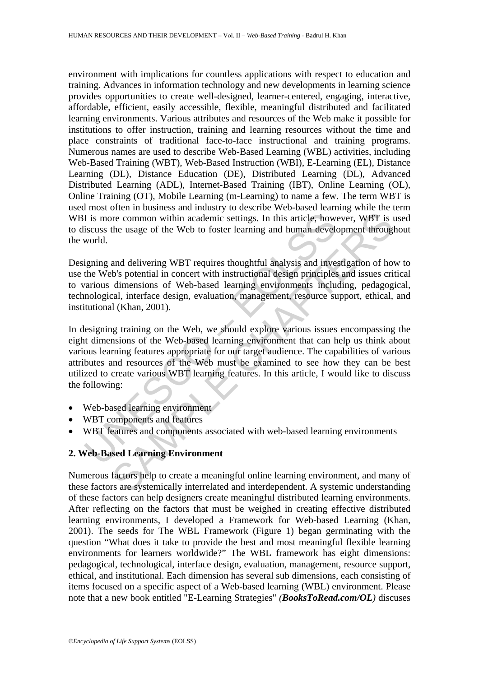environment with implications for countless applications with respect to education and training. Advances in information technology and new developments in learning science provides opportunities to create well-designed, learner-centered, engaging, interactive, affordable, efficient, easily accessible, flexible, meaningful distributed and facilitated learning environments. Various attributes and resources of the Web make it possible for institutions to offer instruction, training and learning resources without the time and place constraints of traditional face-to-face instructional and training programs. Numerous names are used to describe Web-Based Learning (WBL) activities, including Web-Based Training (WBT), Web-Based Instruction (WBI), E-Learning (EL), Distance Learning (DL), Distance Education (DE), Distributed Learning (DL), Advanced Distributed Learning (ADL), Internet-Based Training (IBT), Online Learning (OL), Online Training (OT), Mobile Learning (m-Learning) to name a few. The term WBT is used most often in business and industry to describe Web-based learning while the term WBI is more common within academic settings. In this article, however, WBT is used to discuss the usage of the Web to foster learning and human development throughout the world.

Designing and delivering WBT requires thoughtful analysis and investigation of how to use the Web's potential in concert with instructional design principles and issues critical to various dimensions of Web-based learning environments including, pedagogical, technological, interface design, evaluation, management, resource support, ethical, and institutional (Khan, 2001).

I is more common within academic settings. In this article, how<br>iscuss the usage of the Web to foster learning and human devel<br>world.<br>tigning and delivering WBT requires thoughtful analysis and inve<br>the Web's potential in From the usage of the Web to foster learning and human development function and delivering WBT requires throughtful analysis and investigation of how to sage of the Web to foster learning and human development throught and In designing training on the Web, we should explore various issues encompassing the eight dimensions of the Web-based learning environment that can help us think about various learning features appropriate for our target audience. The capabilities of various attributes and resources of the Web must be examined to see how they can be best utilized to create various WBT learning features. In this article, I would like to discuss the following:

- Web-based learning environment
- WBT components and features
- WBT features and components associated with web-based learning environments

## **2. Web-Based Learning Environment**

Numerous factors help to create a meaningful online learning environment, and many of these factors are systemically interrelated and interdependent. A systemic understanding of these factors can help designers create meaningful distributed learning environments. After reflecting on the factors that must be weighed in creating effective distributed learning environments, I developed a Framework for Web-based Learning (Khan, 2001). The seeds for The WBL Framework (Figure 1) began germinating with the question "What does it take to provide the best and most meaningful flexible learning environments for learners worldwide?" The WBL framework has eight dimensions: pedagogical, technological, interface design, evaluation, management, resource support, ethical, and institutional. Each dimension has several sub dimensions, each consisting of items focused on a specific aspect of a Web-based learning (WBL) environment. Please note that a new book entitled "E-Learning Strategies" *(BooksToRead.com/OL)* discuses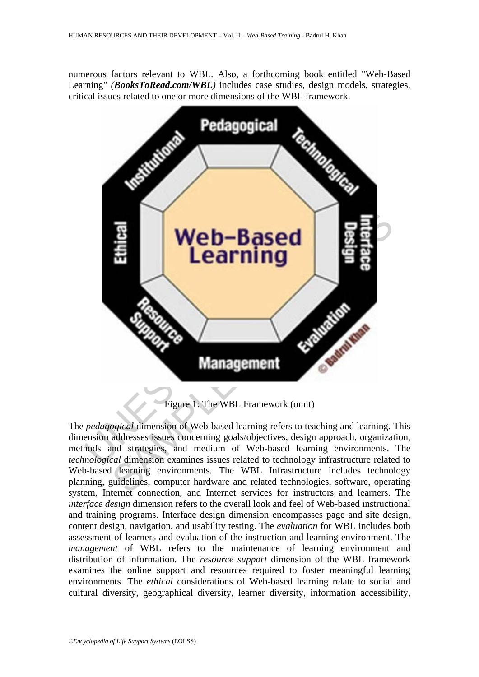numerous factors relevant to WBL. Also, a forthcoming book entitled "Web-Based Learning" *(BooksToRead.com/WBL)* includes case studies, design models, strategies, critical issues related to one or more dimensions of the WBL framework.



Figure 1: The WBL Framework (omit)

The *pedagogical* dimension of Web-based learning refers to teaching and learning. This dimension addresses issues concerning goals/objectives, design approach, organization, methods and strategies, and medium of Web-based learning environments. The *technological* dimension examines issues related to technology infrastructure related to Web-based learning environments. The WBL Infrastructure includes technology planning, guidelines, computer hardware and related technologies, software, operating system, Internet connection, and Internet services for instructors and learners. The *interface design* dimension refers to the overall look and feel of Web-based instructional and training programs. Interface design dimension encompasses page and site design, content design, navigation, and usability testing. The *evaluation* for WBL includes both assessment of learners and evaluation of the instruction and learning environment. The *management* of WBL refers to the maintenance of learning environment and distribution of information. The *resource support* dimension of the WBL framework examines the online support and resources required to foster meaningful learning environments. The *ethical* considerations of Web-based learning relate to social and cultural diversity, geographical diversity, learner diversity, information accessibility,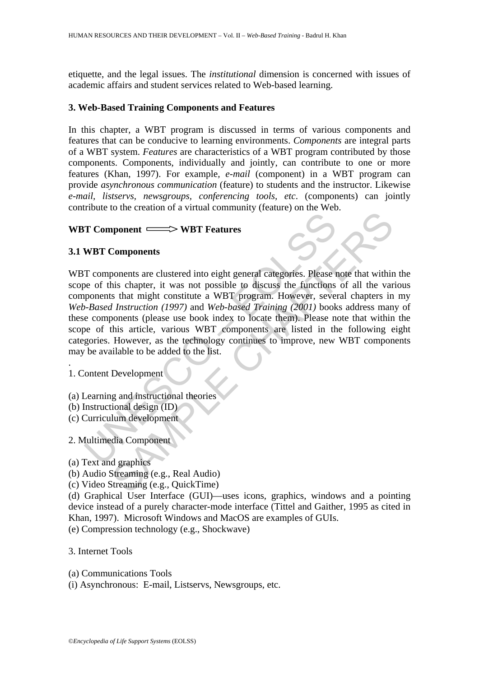etiquette, and the legal issues. The *institutional* dimension is concerned with issues of academic affairs and student services related to Web-based learning.

## **3. Web-Based Training Components and Features**

In this chapter, a WBT program is discussed in terms of various components and features that can be conducive to learning environments. *Components* are integral parts of a WBT system. *Features* are characteristics of a WBT program contributed by those components. Components, individually and jointly, can contribute to one or more features (Khan, 1997). For example*, e-mail* (component) in a WBT program can provide *asynchronous communication* (feature) to students and the instructor. Likewise *e-mail, listservs, newsgroups, conferencing tools, etc*. (components) can jointly contribute to the creation of a virtual community (feature) on the Web.

## **WBT Component WBT Features**

## **3.1 WBT Components**

T Component  $\xrightarrow{\sim}$  WBT Features<br>
WBT Components<br>
T components are clustered into eight general categories. Please to<br>
be of this chapter, it was not possible to discuss the functions<br>
ponents that might constitute a WBT **Example 18 The SAMPLE CONSTRANCE CONSTRANCE CONSTRANCE CONSTRANCE SUBARUST COMPONENT Scheme (1997)** and Web-based Training (2001) books address in *I Instruction (1997)* and *Web-based Training (2001)* books address man WBT components are clustered into eight general categories. Please note that within the scope of this chapter, it was not possible to discuss the functions of all the various components that might constitute a WBT program. However, several chapters in my *Web-Based Instruction (1997)* and *Web-based Training (2001)* books address many of these components (please use book index to locate them). Please note that within the scope of this article, various WBT components are listed in the following eight categories. However, as the technology continues to improve, new WBT components may be available to be added to the list.

1. Content Development

.

- (a) Learning and instructional theories
- (b) Instructional design (ID)
- (c) Curriculum development
- 2. Multimedia Component

(a) Text and graphics

(b) Audio Streaming (e.g., Real Audio)

(c) Video Streaming (e.g., QuickTime)

(d) Graphical User Interface (GUI)—uses icons, graphics, windows and a pointing device instead of a purely character-mode interface (Tittel and Gaither, 1995 as cited in Khan, 1997). Microsoft Windows and MacOS are examples of GUIs.

(e) Compression technology (e.g., Shockwave)

3. Internet Tools

(a) Communications Tools

(i) Asynchronous: E-mail, Listservs, Newsgroups, etc.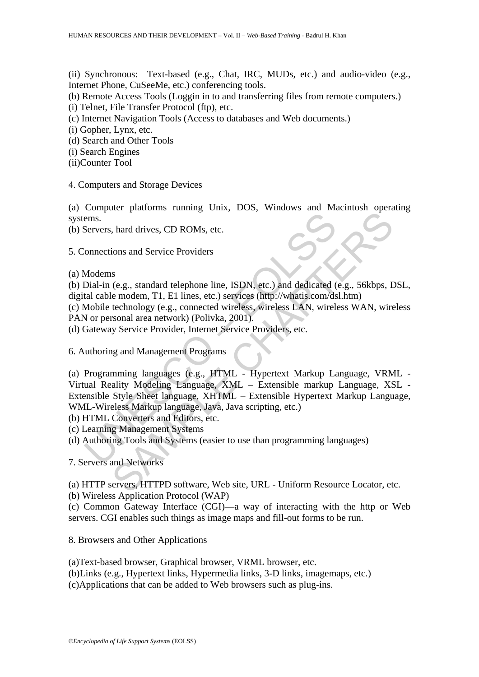(ii) Synchronous: Text-based (e.g., Chat, IRC, MUDs, etc.) and audio-video (e.g., Internet Phone, CuSeeMe, etc.) conferencing tools.

(b) Remote Access Tools (Loggin in to and transferring files from remote computers.)

(i) Telnet, File Transfer Protocol (ftp), etc.

(c) Internet Navigation Tools (Access to databases and Web documents.)

(i) Gopher, Lynx, etc.

(d) Search and Other Tools

(i) Search Engines

(ii)Counter Tool

4. Computers and Storage Devices

(a) Computer platforms running Unix, DOS, Windows and Macintosh operating systems.

(b) Servers, hard drives, CD ROMs, etc.

5. Connections and Service Providers

(a) Modems

(b) Dial-in (e.g., standard telephone line, ISDN, etc.) and dedicated (e.g., 56kbps, DSL, digital cable modem, T1, E1 lines, etc.) services (http://whatis.com/dsl.htm)

(c) Mobile technology (e.g., connected wireless, wireless LAN, wireless WAN, wireless PAN or personal area network) (Polivka, 2001).

(d) Gateway Service Provider, Internet Service Providers, etc.

6. Authoring and Management Programs

ems.<br>
Servers, hard drives, CD ROMs, etc.<br>
Connections and Service Providers<br>
Modems<br>
Modems<br>
Modems<br>
Modems<br>
Modems<br>
Modems<br>
Modems<br>
Modems<br>
Modems<br>
Modems<br>
Modems<br>
Modems<br>
Modems<br>
Modems<br>
Modems<br>
Notice externed wireless The Franchinan Collection, and Service Providers<br>
Sample Chapter CD ROMs, etc.<br>
Sample Chapter Chapter and declicated (e.g., 56kbps, L<br>
(e.g., standard telephone line, ISDN, etc.) and dedicated (e.g., 56kbps, L<br>
Elemodem, (a) Programming languages (e.g., HTML - Hypertext Markup Language, VRML - Virtual Reality Modeling Language, XML – Extensible markup Language, XSL - Extensible Style Sheet language, XHTML – Extensible Hypertext Markup Language, WML-Wireless Markup language, Java, Java scripting, etc.)

(b) HTML Converters and Editors, etc.

(c) Learning Management Systems

(d) Authoring Tools and Systems (easier to use than programming languages)

7. Servers and Networks

(a) HTTP servers, HTTPD software, Web site, URL - Uniform Resource Locator, etc.

(b) Wireless Application Protocol (WAP)

(c) Common Gateway Interface (CGI)—a way of interacting with the http or Web servers. CGI enables such things as image maps and fill-out forms to be run.

8. Browsers and Other Applications

(a)Text-based browser, Graphical browser, VRML browser, etc.

(b)Links (e.g., Hypertext links, Hypermedia links, 3-D links, imagemaps, etc.)

(c)Applications that can be added to Web browsers such as plug-ins.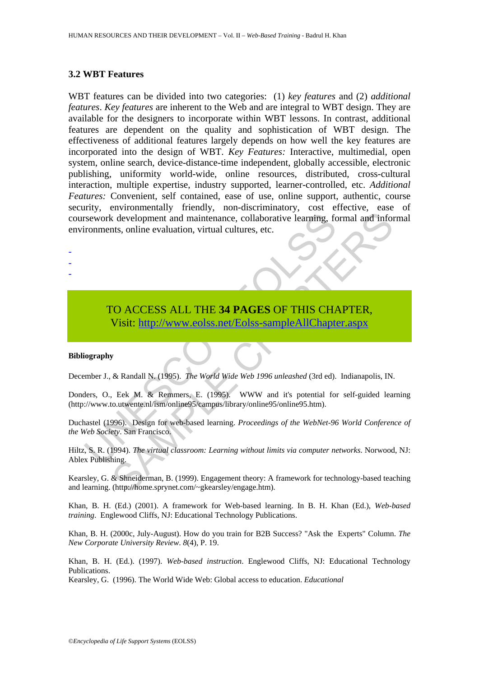### **3.2 WBT Features**

Internation and maintenance, collaborative learning, for the evaluation, virtual cultures, etc.<br>
TO ACCESS ALL THE 34 PAGES OF THIS CHA Visit: http://www.eolss.net/Eolss-sampleAllChapte<br>
USE: thtp://www.eolss.net/Eolss-sam Construction and maintenance, collaborative learning, formal and information and maintenance, collaborative learning, formal and information, virtual cultures, etc.<br>
SAMPLERS ALL THE 34 PAGES OF THIS C[HAP](https://www.eolss.net/ebooklib/sc_cart.aspx?File=E1-10-04-03)TER,<br>
Visit: http: WBT features can be divided into two categories: (1) *key features* and (2) *additional features*. *Key features* are inherent to the Web and are integral to WBT design. They are available for the designers to incorporate within WBT lessons. In contrast, additional features are dependent on the quality and sophistication of WBT design. The effectiveness of additional features largely depends on how well the key features are incorporated into the design of WBT. *Key Features:* Interactive, multimedial, open system, online search, device-distance-time independent, globally accessible, electronic publishing, uniformity world-wide, online resources, distributed, cross-cultural interaction, multiple expertise, industry supported, learner-controlled, etc. *Additional Features:* Convenient, self contained, ease of use, online support, authentic, course security, environmentally friendly, non-discriminatory, cost effective, ease of coursework development and maintenance, collaborative learning, formal and informal environments, online evaluation, virtual cultures, etc.

TO ACCESS ALL THE **34 PAGES** OF THIS CHAPTER, Visit: http://www.eolss.net/Eolss-sampleAllChapter.aspx

#### **Bibliography**

- - -

December J., & Randall N. (1995). *The World Wide Web 1996 unleashed* (3rd ed). Indianapolis, IN.

Donders, O., Eek M. & Remmers, E. (1995). WWW and it's potential for self-guided learning (http://www.to.utwente.nl/ism/online95/campus/library/online95/online95.htm).

Duchastel (1996). Design for web-based learning. *Proceedings of the WebNet-96 World Conference of the Web Society*. San Francisco.

Hiltz, S. R. (1994). *The virtual classroom: Learning without limits via computer networks*. Norwood, NJ: Ablex Publishing.

Kearsley, G. & Shneiderman, B. (1999). Engagement theory: A framework for technology-based teaching and learning. (http://home.sprynet.com/~gkearsley/engage.htm).

Khan, B. H. (Ed.) (2001). A framework for Web-based learning. In B. H. Khan (Ed.), *Web-based training*. Englewood Cliffs, NJ: Educational Technology Publications.

Khan, B. H. (2000c, July-August). How do you train for B2B Success? "Ask the Experts" Column. *The New Corporate University Review*. *8*(4), P. 19.

Khan, B. H. (Ed.). (1997). *Web-based instruction*. Englewood Cliffs, NJ: Educational Technology Publications.

Kearsley, G. (1996). The World Wide Web: Global access to education. *Educational*